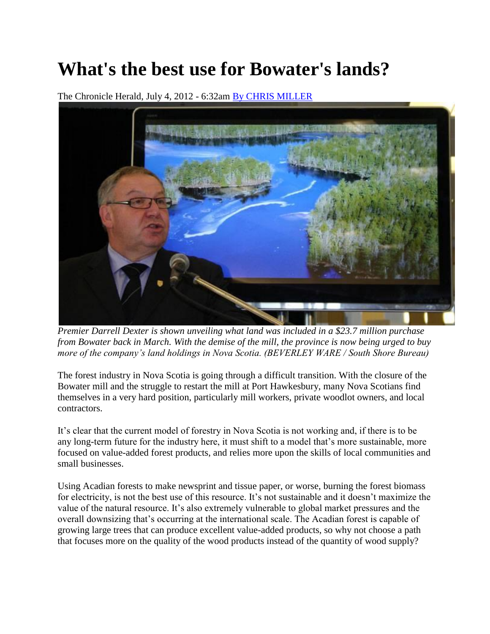## **What's the best use for Bowater's lands?**

The Chronicle Herald, July 4, 2012 - 6:32am [By CHRIS MILLER](http://thechronicleherald.ca/author/by-chris-miller)



*Premier Darrell Dexter is shown unveiling what land was included in a \$23.7 million purchase from Bowater back in March. With the demise of the mill, the province is now being urged to buy more of the company's land holdings in Nova Scotia. (BEVERLEY WARE / South Shore Bureau)* 

The forest industry in Nova Scotia is going through a difficult transition. With the closure of the Bowater mill and the struggle to restart the mill at Port Hawkesbury, many Nova Scotians find themselves in a very hard position, particularly mill workers, private woodlot owners, and local contractors.

It's clear that the current model of forestry in Nova Scotia is not working and, if there is to be any long-term future for the industry here, it must shift to a model that's more sustainable, more focused on value-added forest products, and relies more upon the skills of local communities and small businesses.

Using Acadian forests to make newsprint and tissue paper, or worse, burning the forest biomass for electricity, is not the best use of this resource. It's not sustainable and it doesn't maximize the value of the natural resource. It's also extremely vulnerable to global market pressures and the overall downsizing that's occurring at the international scale. The Acadian forest is capable of growing large trees that can produce excellent value-added products, so why not choose a path that focuses more on the quality of the wood products instead of the quantity of wood supply?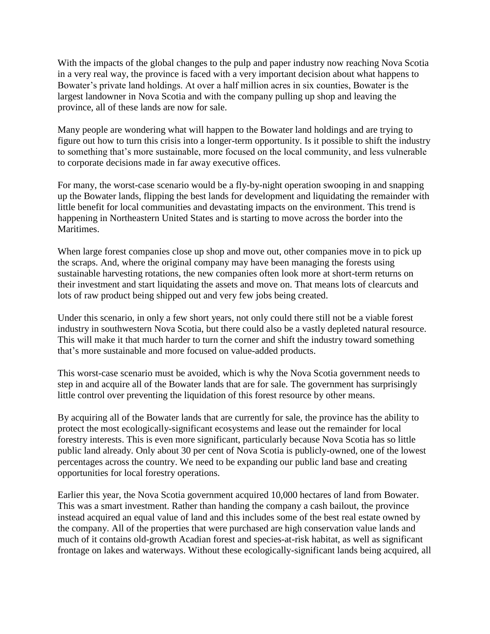With the impacts of the global changes to the pulp and paper industry now reaching Nova Scotia in a very real way, the province is faced with a very important decision about what happens to Bowater's private land holdings. At over a half million acres in six counties, Bowater is the largest landowner in Nova Scotia and with the company pulling up shop and leaving the province, all of these lands are now for sale.

Many people are wondering what will happen to the Bowater land holdings and are trying to figure out how to turn this crisis into a longer-term opportunity. Is it possible to shift the industry to something that's more sustainable, more focused on the local community, and less vulnerable to corporate decisions made in far away executive offices.

For many, the worst-case scenario would be a fly-by-night operation swooping in and snapping up the Bowater lands, flipping the best lands for development and liquidating the remainder with little benefit for local communities and devastating impacts on the environment. This trend is happening in Northeastern United States and is starting to move across the border into the Maritimes.

When large forest companies close up shop and move out, other companies move in to pick up the scraps. And, where the original company may have been managing the forests using sustainable harvesting rotations, the new companies often look more at short-term returns on their investment and start liquidating the assets and move on. That means lots of clearcuts and lots of raw product being shipped out and very few jobs being created.

Under this scenario, in only a few short years, not only could there still not be a viable forest industry in southwestern Nova Scotia, but there could also be a vastly depleted natural resource. This will make it that much harder to turn the corner and shift the industry toward something that's more sustainable and more focused on value-added products.

This worst-case scenario must be avoided, which is why the Nova Scotia government needs to step in and acquire all of the Bowater lands that are for sale. The government has surprisingly little control over preventing the liquidation of this forest resource by other means.

By acquiring all of the Bowater lands that are currently for sale, the province has the ability to protect the most ecologically-significant ecosystems and lease out the remainder for local forestry interests. This is even more significant, particularly because Nova Scotia has so little public land already. Only about 30 per cent of Nova Scotia is publicly-owned, one of the lowest percentages across the country. We need to be expanding our public land base and creating opportunities for local forestry operations.

Earlier this year, the Nova Scotia government acquired 10,000 hectares of land from Bowater. This was a smart investment. Rather than handing the company a cash bailout, the province instead acquired an equal value of land and this includes some of the best real estate owned by the company. All of the properties that were purchased are high conservation value lands and much of it contains old-growth Acadian forest and species-at-risk habitat, as well as significant frontage on lakes and waterways. Without these ecologically-significant lands being acquired, all